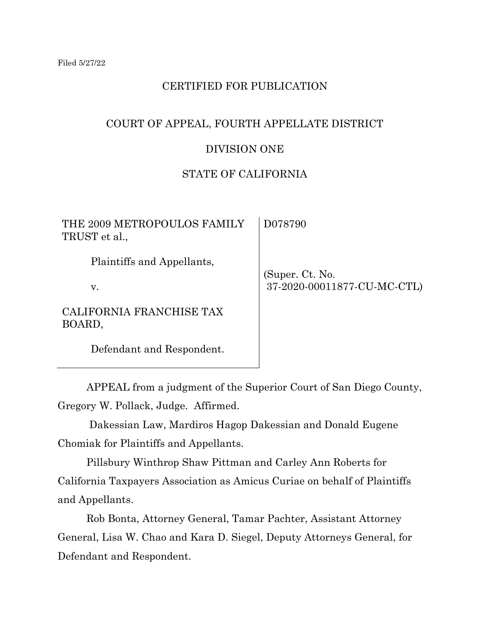# CERTIFIED FOR PUBLICATION

# COURT OF APPEAL, FOURTH APPELLATE DISTRICT

### DIVISION ONE

# STATE OF CALIFORNIA

| THE 2009 METROPOULOS FAMILY<br>TRUST et al., | D078790                     |
|----------------------------------------------|-----------------------------|
| Plaintiffs and Appellants,                   | (Super. Ct. No.             |
| $V_{\cdot}$                                  | 37-2020-00011877-CU-MC-CTL) |
| CALIFORNIA FRANCHISE TAX<br>BOARD,           |                             |
| Defendant and Respondent.                    |                             |

APPEAL from a judgment of the Superior Court of San Diego County, Gregory W. Pollack, Judge. Affirmed.

 Dakessian Law, Mardiros Hagop Dakessian and Donald Eugene Chomiak for Plaintiffs and Appellants.

Pillsbury Winthrop Shaw Pittman and Carley Ann Roberts for California Taxpayers Association as Amicus Curiae on behalf of Plaintiffs and Appellants.

Rob Bonta, Attorney General, Tamar Pachter, Assistant Attorney General, Lisa W. Chao and Kara D. Siegel, Deputy Attorneys General, for Defendant and Respondent.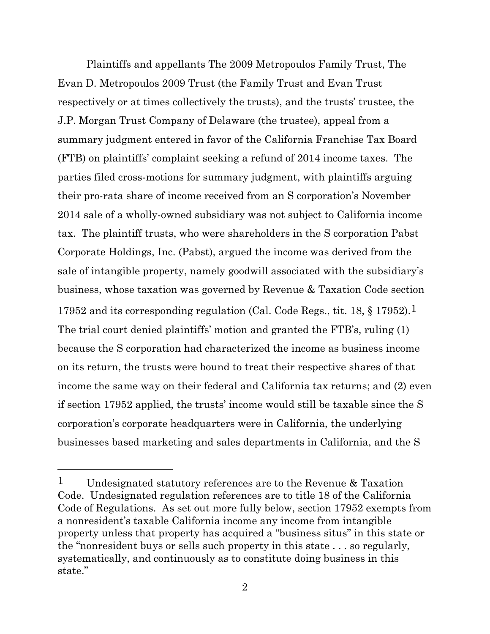Plaintiffs and appellants The 2009 Metropoulos Family Trust, The Evan D. Metropoulos 2009 Trust (the Family Trust and Evan Trust respectively or at times collectively the trusts), and the trusts' trustee, the J.P. Morgan Trust Company of Delaware (the trustee), appeal from a summary judgment entered in favor of the California Franchise Tax Board (FTB) on plaintiffs' complaint seeking a refund of 2014 income taxes. The parties filed cross-motions for summary judgment, with plaintiffs arguing their pro-rata share of income received from an S corporation's November 2014 sale of a wholly-owned subsidiary was not subject to California income tax. The plaintiff trusts, who were shareholders in the S corporation Pabst Corporate Holdings, Inc. (Pabst), argued the income was derived from the sale of intangible property, namely goodwill associated with the subsidiary's business, whose taxation was governed by Revenue & Taxation Code section 17952 and its corresponding regulation (Cal. Code Regs., tit. 18, § 17952).1 The trial court denied plaintiffs' motion and granted the FTB's, ruling (1) because the S corporation had characterized the income as business income on its return, the trusts were bound to treat their respective shares of that income the same way on their federal and California tax returns; and (2) even if section 17952 applied, the trusts' income would still be taxable since the S corporation's corporate headquarters were in California, the underlying businesses based marketing and sales departments in California, and the S

<sup>1</sup> Undesignated statutory references are to the Revenue & Taxation Code. Undesignated regulation references are to title 18 of the California Code of Regulations. As set out more fully below, section 17952 exempts from a nonresident's taxable California income any income from intangible property unless that property has acquired a "business situs" in this state or the "nonresident buys or sells such property in this state . . . so regularly, systematically, and continuously as to constitute doing business in this state."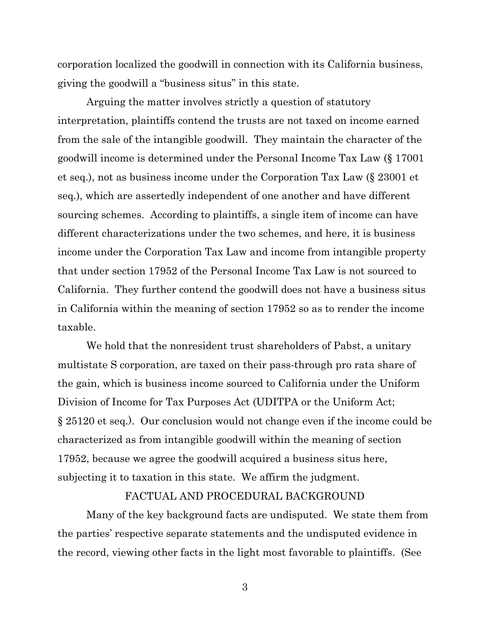corporation localized the goodwill in connection with its California business, giving the goodwill a "business situs" in this state.

Arguing the matter involves strictly a question of statutory interpretation, plaintiffs contend the trusts are not taxed on income earned from the sale of the intangible goodwill. They maintain the character of the goodwill income is determined under the Personal Income Tax Law (§ 17001 et seq.), not as business income under the Corporation Tax Law (§ 23001 et seq.), which are assertedly independent of one another and have different sourcing schemes. According to plaintiffs, a single item of income can have different characterizations under the two schemes, and here, it is business income under the Corporation Tax Law and income from intangible property that under section 17952 of the Personal Income Tax Law is not sourced to California. They further contend the goodwill does not have a business situs in California within the meaning of section 17952 so as to render the income taxable.

We hold that the nonresident trust shareholders of Pabst, a unitary multistate S corporation, are taxed on their pass-through pro rata share of the gain, which is business income sourced to California under the Uniform Division of Income for Tax Purposes Act (UDITPA or the Uniform Act; § 25120 et seq.). Our conclusion would not change even if the income could be characterized as from intangible goodwill within the meaning of section 17952, because we agree the goodwill acquired a business situs here, subjecting it to taxation in this state. We affirm the judgment.

### FACTUAL AND PROCEDURAL BACKGROUND

Many of the key background facts are undisputed. We state them from the parties' respective separate statements and the undisputed evidence in the record, viewing other facts in the light most favorable to plaintiffs. (See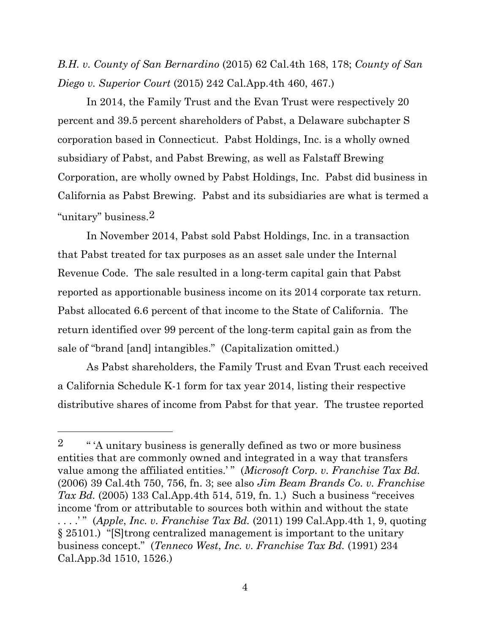*B.H. v. County of San Bernardino* (2015) 62 Cal.4th 168, 178; *County of San Diego v. Superior Court* (2015) 242 Cal.App.4th 460, 467.)

In 2014, the Family Trust and the Evan Trust were respectively 20 percent and 39.5 percent shareholders of Pabst, a Delaware subchapter S corporation based in Connecticut. Pabst Holdings, Inc. is a wholly owned subsidiary of Pabst, and Pabst Brewing, as well as Falstaff Brewing Corporation, are wholly owned by Pabst Holdings, Inc. Pabst did business in California as Pabst Brewing. Pabst and its subsidiaries are what is termed a "unitary" business.2

In November 2014, Pabst sold Pabst Holdings, Inc. in a transaction that Pabst treated for tax purposes as an asset sale under the Internal Revenue Code. The sale resulted in a long-term capital gain that Pabst reported as apportionable business income on its 2014 corporate tax return. Pabst allocated 6.6 percent of that income to the State of California. The return identified over 99 percent of the long-term capital gain as from the sale of "brand [and] intangibles." (Capitalization omitted.)

As Pabst shareholders, the Family Trust and Evan Trust each received a California Schedule K-1 form for tax year 2014, listing their respective distributive shares of income from Pabst for that year. The trustee reported

<sup>&</sup>lt;sup>2</sup> "<sup>"</sup>A unitary business is generally defined as two or more business entities that are commonly owned and integrated in a way that transfers value among the affiliated entities.'" (*Microsoft Corp. v. Franchise Tax Bd.*) (2006) 39 Cal.4th 750, 756, fn. 3; see also *Jim Beam Brands Co. v. Franchise Tax Bd.* (2005) 133 Cal.App.4th 514, 519, fn. 1.) Such a business "receives income 'from or attributable to sources both within and without the state . . . .' " (*Apple*, *Inc. v. Franchise Tax Bd.* (2011) 199 Cal.App.4th 1, 9, quoting § 25101.) "[S]trong centralized management is important to the unitary business concept." (*Tenneco West*, *Inc. v. Franchise Tax Bd.* (1991) 234 Cal.App.3d 1510, 1526.)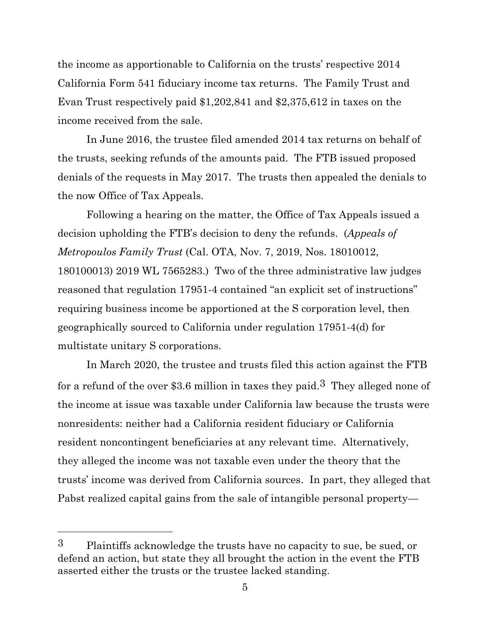the income as apportionable to California on the trusts' respective 2014 California Form 541 fiduciary income tax returns. The Family Trust and Evan Trust respectively paid \$1,202,841 and \$2,375,612 in taxes on the income received from the sale.

In June 2016, the trustee filed amended 2014 tax returns on behalf of the trusts, seeking refunds of the amounts paid. The FTB issued proposed denials of the requests in May 2017. The trusts then appealed the denials to the now Office of Tax Appeals.

Following a hearing on the matter, the Office of Tax Appeals issued a decision upholding the FTB's decision to deny the refunds. (*Appeals of Metropoulos Family Trust* (Cal. OTA, Nov. 7, 2019, Nos. 18010012, 180100013) 2019 WL 7565283.) Two of the three administrative law judges reasoned that regulation 17951-4 contained "an explicit set of instructions" requiring business income be apportioned at the S corporation level, then geographically sourced to California under regulation 17951-4(d) for multistate unitary S corporations.

In March 2020, the trustee and trusts filed this action against the FTB for a refund of the over \$3.6 million in taxes they paid.<sup>3</sup> They alleged none of the income at issue was taxable under California law because the trusts were nonresidents: neither had a California resident fiduciary or California resident noncontingent beneficiaries at any relevant time. Alternatively, they alleged the income was not taxable even under the theory that the trusts' income was derived from California sources. In part, they alleged that Pabst realized capital gains from the sale of intangible personal property—

<sup>3</sup> Plaintiffs acknowledge the trusts have no capacity to sue, be sued, or defend an action, but state they all brought the action in the event the FTB asserted either the trusts or the trustee lacked standing.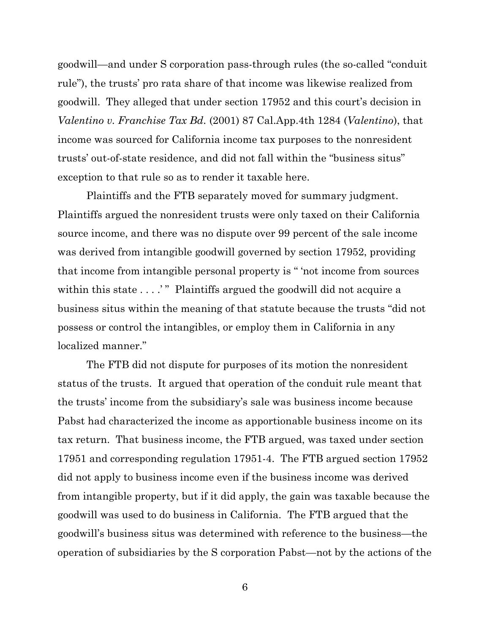goodwill—and under S corporation pass-through rules (the so-called "conduit rule"), the trusts' pro rata share of that income was likewise realized from goodwill. They alleged that under section 17952 and this court's decision in *Valentino v. Franchise Tax Bd.* (2001) 87 Cal.App.4th 1284 (*Valentino*), that income was sourced for California income tax purposes to the nonresident trusts' out-of-state residence, and did not fall within the "business situs" exception to that rule so as to render it taxable here.

Plaintiffs and the FTB separately moved for summary judgment. Plaintiffs argued the nonresident trusts were only taxed on their California source income, and there was no dispute over 99 percent of the sale income was derived from intangible goodwill governed by section 17952, providing that income from intangible personal property is " 'not income from sources within this state . . . . " Plaintiffs argued the goodwill did not acquire a business situs within the meaning of that statute because the trusts "did not possess or control the intangibles, or employ them in California in any localized manner."

The FTB did not dispute for purposes of its motion the nonresident status of the trusts. It argued that operation of the conduit rule meant that the trusts' income from the subsidiary's sale was business income because Pabst had characterized the income as apportionable business income on its tax return. That business income, the FTB argued, was taxed under section 17951 and corresponding regulation 17951-4. The FTB argued section 17952 did not apply to business income even if the business income was derived from intangible property, but if it did apply, the gain was taxable because the goodwill was used to do business in California. The FTB argued that the goodwill's business situs was determined with reference to the business—the operation of subsidiaries by the S corporation Pabst—not by the actions of the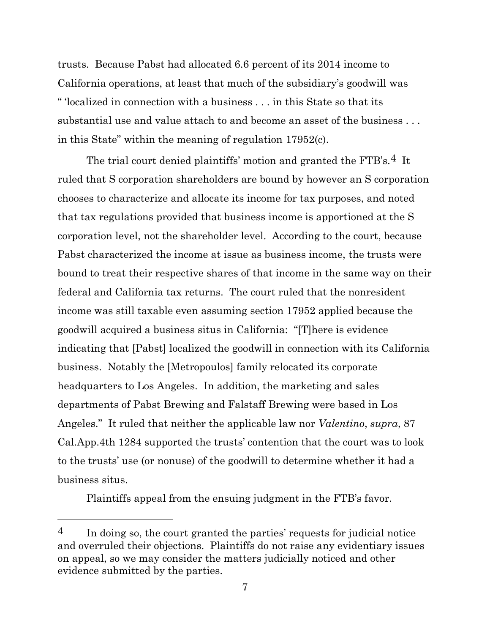trusts. Because Pabst had allocated 6.6 percent of its 2014 income to California operations, at least that much of the subsidiary's goodwill was " 'localized in connection with a business . . . in this State so that its substantial use and value attach to and become an asset of the business . . . in this State" within the meaning of regulation 17952(c).

The trial court denied plaintiffs' motion and granted the FTB's.<sup>4</sup> It ruled that S corporation shareholders are bound by however an S corporation chooses to characterize and allocate its income for tax purposes, and noted that tax regulations provided that business income is apportioned at the S corporation level, not the shareholder level. According to the court, because Pabst characterized the income at issue as business income, the trusts were bound to treat their respective shares of that income in the same way on their federal and California tax returns. The court ruled that the nonresident income was still taxable even assuming section 17952 applied because the goodwill acquired a business situs in California: "[T]here is evidence indicating that [Pabst] localized the goodwill in connection with its California business. Notably the [Metropoulos] family relocated its corporate headquarters to Los Angeles. In addition, the marketing and sales departments of Pabst Brewing and Falstaff Brewing were based in Los Angeles." It ruled that neither the applicable law nor *Valentino*, *supra*, 87 Cal.App.4th 1284 supported the trusts' contention that the court was to look to the trusts' use (or nonuse) of the goodwill to determine whether it had a business situs.

Plaintiffs appeal from the ensuing judgment in the FTB's favor.

 $\frac{4}{10}$  In doing so, the court granted the parties' requests for judicial notice and overruled their objections. Plaintiffs do not raise any evidentiary issues on appeal, so we may consider the matters judicially noticed and other evidence submitted by the parties.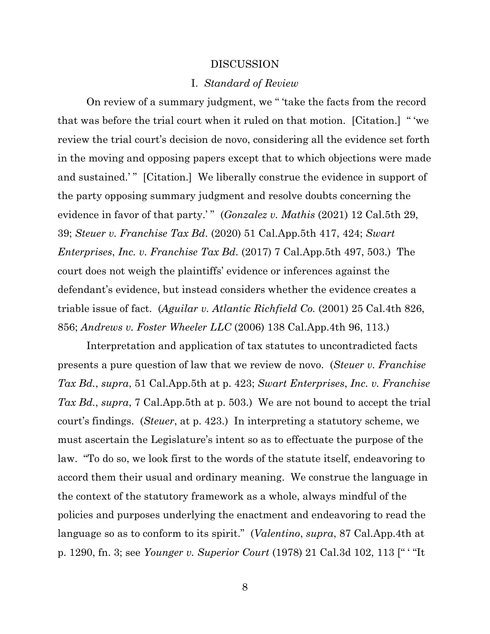#### DISCUSSION

#### I. *Standard of Review*

On review of a summary judgment, we " 'take the facts from the record that was before the trial court when it ruled on that motion. [Citation.] " 'we review the trial court's decision de novo, considering all the evidence set forth in the moving and opposing papers except that to which objections were made and sustained.'" [Citation.] We liberally construe the evidence in support of the party opposing summary judgment and resolve doubts concerning the evidence in favor of that party.'" (*Gonzalez v. Mathis* (2021) 12 Cal.5th 29, 39; *Steuer v. Franchise Tax Bd.* (2020) 51 Cal.App.5th 417, 424; *Swart Enterprises*, *Inc. v. Franchise Tax Bd.* (2017) 7 Cal.App.5th 497, 503.) The court does not weigh the plaintiffs' evidence or inferences against the defendant's evidence, but instead considers whether the evidence creates a triable issue of fact. (*Aguilar v. Atlantic Richfield Co.* (2001) 25 Cal.4th 826, 856; *Andrews v. Foster Wheeler LLC* (2006) 138 Cal.App.4th 96, 113.)

Interpretation and application of tax statutes to uncontradicted facts presents a pure question of law that we review de novo. (*Steuer v. Franchise Tax Bd.*, *supra*, 51 Cal.App.5th at p. 423; *Swart Enterprises*, *Inc. v. Franchise Tax Bd.*, *supra*, 7 Cal.App.5th at p. 503.) We are not bound to accept the trial court's findings. (*Steuer*, at p. 423.) In interpreting a statutory scheme, we must ascertain the Legislature's intent so as to effectuate the purpose of the law. "To do so, we look first to the words of the statute itself, endeavoring to accord them their usual and ordinary meaning. We construe the language in the context of the statutory framework as a whole, always mindful of the policies and purposes underlying the enactment and endeavoring to read the language so as to conform to its spirit." (*Valentino*, *supra*, 87 Cal.App.4th at p. 1290, fn. 3; see *Younger v. Superior Court* (1978) 21 Cal.3d 102, 113 [" ' "It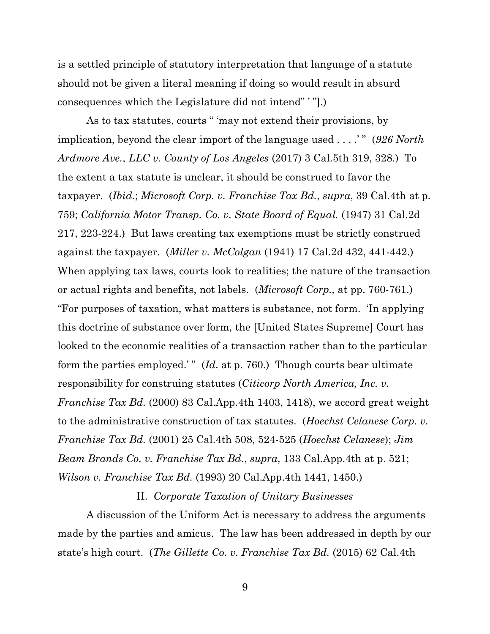is a settled principle of statutory interpretation that language of a statute should not be given a literal meaning if doing so would result in absurd consequences which the Legislature did not intend" ' "].)

As to tax statutes, courts " 'may not extend their provisions, by implication, beyond the clear import of the language used . . . .' " (*926 North Ardmore Ave.*, *LLC v. County of Los Angeles* (2017) 3 Cal.5th 319, 328.) To the extent a tax statute is unclear, it should be construed to favor the taxpayer. (*Ibid*.; *Microsoft Corp. v. Franchise Tax Bd.*, *supra*, 39 Cal.4th at p. 759; *California Motor Transp. Co. v. State Board of Equal.* (1947) 31 Cal.2d 217, 223-224.) But laws creating tax exemptions must be strictly construed against the taxpayer. (*Miller v. McColgan* (1941) 17 Cal.2d 432, 441-442.) When applying tax laws, courts look to realities; the nature of the transaction or actual rights and benefits, not labels. (*Microsoft Corp.,* at pp. 760-761.) "For purposes of taxation, what matters is substance, not form. 'In applying this doctrine of substance over form, the [United States Supreme] Court has looked to the economic realities of a transaction rather than to the particular form the parties employed.'" (*Id.* at p. 760.) Though courts bear ultimate responsibility for construing statutes (*Citicorp North America, Inc. v. Franchise Tax Bd.* (2000) 83 Cal.App.4th 1403, 1418), we accord great weight to the administrative construction of tax statutes. (*Hoechst Celanese Corp. v. Franchise Tax Bd.* (2001) 25 Cal.4th 508, 524-525 (*Hoechst Celanese*); *Jim Beam Brands Co. v. Franchise Tax Bd.*, *supra*, 133 Cal.App.4th at p. 521; *Wilson v. Franchise Tax Bd.* (1993) 20 Cal.App.4th 1441, 1450.)

### II. *Corporate Taxation of Unitary Businesses*

A discussion of the Uniform Act is necessary to address the arguments made by the parties and amicus. The law has been addressed in depth by our state's high court. (*The Gillette Co. v. Franchise Tax Bd.* (2015) 62 Cal.4th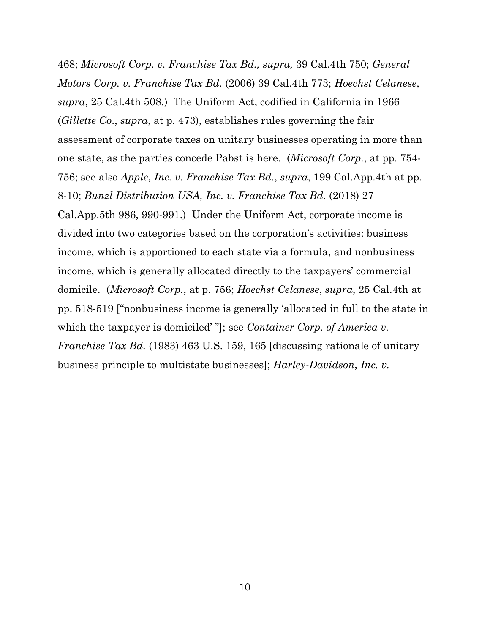468; *Microsoft Corp. v. Franchise Tax Bd., supra,* 39 Cal.4th 750; *General Motors Corp. v. Franchise Tax Bd*. (2006) 39 Cal.4th 773; *Hoechst Celanese*, *supra*, 25 Cal.4th 508.) The Uniform Act, codified in California in 1966 (*Gillette Co*., *supra*, at p. 473), establishes rules governing the fair assessment of corporate taxes on unitary businesses operating in more than one state, as the parties concede Pabst is here. (*Microsoft Corp.*, at pp. 754- 756; see also *Apple*, *Inc. v. Franchise Tax Bd.*, *supra*, 199 Cal.App.4th at pp. 8-10; *Bunzl Distribution USA, Inc. v. Franchise Tax Bd.* (2018) 27 Cal.App.5th 986, 990-991.) Under the Uniform Act, corporate income is divided into two categories based on the corporation's activities: business income, which is apportioned to each state via a formula, and nonbusiness income, which is generally allocated directly to the taxpayers' commercial domicile. (*Microsoft Corp.*, at p. 756; *Hoechst Celanese*, *supra*, 25 Cal.4th at pp. 518-519 ["nonbusiness income is generally 'allocated in full to the state in which the taxpayer is domiciled' "]; see *Container Corp. of America v. Franchise Tax Bd.* (1983) 463 U.S. 159, 165 [discussing rationale of unitary business principle to multistate businesses]; *Harley-Davidson*, *Inc. v.*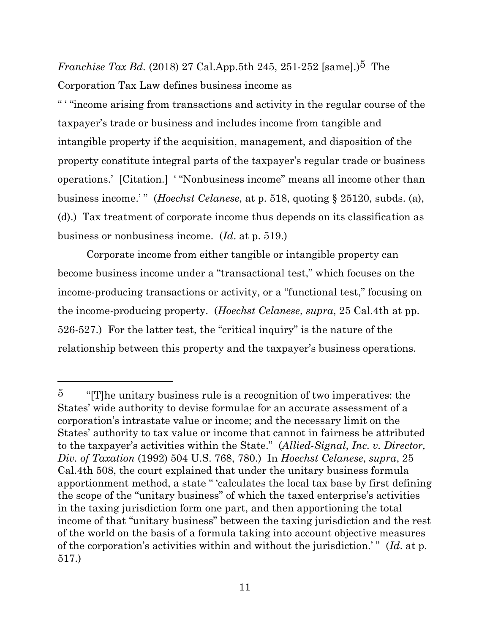*Franchise Tax Bd.* (2018) 27 Cal.App.5th 245, 251-252 [same].)<sup>5</sup> The

Corporation Tax Law defines business income as

" ' "income arising from transactions and activity in the regular course of the taxpayer's trade or business and includes income from tangible and intangible property if the acquisition, management, and disposition of the property constitute integral parts of the taxpayer's regular trade or business operations.' [Citation.] ' "Nonbusiness income" means all income other than business income.' " (*Hoechst Celanese*, at p. 518, quoting § 25120, subds. (a), (d).) Tax treatment of corporate income thus depends on its classification as business or nonbusiness income. (*Id*. at p. 519.)

Corporate income from either tangible or intangible property can become business income under a "transactional test," which focuses on the income-producing transactions or activity, or a "functional test," focusing on the income-producing property. (*Hoechst Celanese*, *supra*, 25 Cal.4th at pp. 526-527.) For the latter test, the "critical inquiry" is the nature of the relationship between this property and the taxpayer's business operations.

 $5$  "[T] he unitary business rule is a recognition of two imperatives: the States' wide authority to devise formulae for an accurate assessment of a corporation's intrastate value or income; and the necessary limit on the States' authority to tax value or income that cannot in fairness be attributed to the taxpayer's activities within the State." (*Allied-Signal*, *Inc. v. Director, Div. of Taxation* (1992) 504 U.S. 768, 780.) In *Hoechst Celanese*, *supra*, 25 Cal.4th 508, the court explained that under the unitary business formula apportionment method, a state " 'calculates the local tax base by first defining the scope of the "unitary business" of which the taxed enterprise's activities in the taxing jurisdiction form one part, and then apportioning the total income of that "unitary business" between the taxing jurisdiction and the rest of the world on the basis of a formula taking into account objective measures of the corporation's activities within and without the jurisdiction.' " (*Id*. at p. 517.)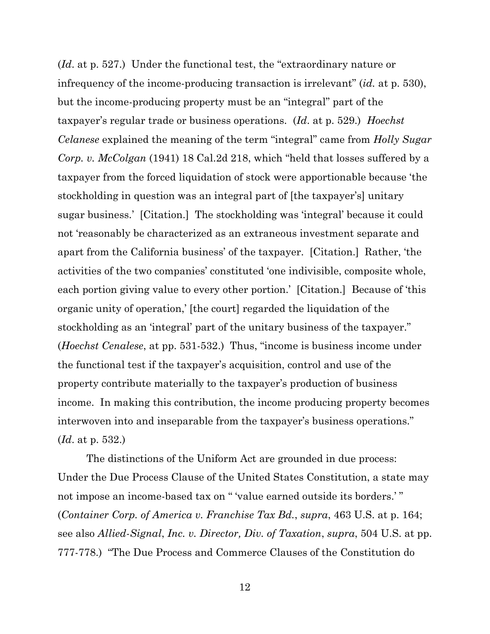(*Id*. at p. 527.) Under the functional test, the "extraordinary nature or infrequency of the income-producing transaction is irrelevant" (*id.* at p. 530), but the income-producing property must be an "integral" part of the taxpayer's regular trade or business operations. (*Id*. at p. 529.) *Hoechst Celanese* explained the meaning of the term "integral" came from *Holly Sugar Corp. v. McColgan* (1941) 18 Cal.2d 218, which "held that losses suffered by a taxpayer from the forced liquidation of stock were apportionable because 'the stockholding in question was an integral part of [the taxpayer's] unitary sugar business.' [Citation.] The stockholding was 'integral' because it could not 'reasonably be characterized as an extraneous investment separate and apart from the California business' of the taxpayer. [Citation.] Rather, 'the activities of the two companies' constituted 'one indivisible, composite whole, each portion giving value to every other portion.' [Citation.] Because of 'this organic unity of operation,' [the court] regarded the liquidation of the stockholding as an 'integral' part of the unitary business of the taxpayer." (*Hoechst Cenalese*, at pp. 531-532.) Thus, "income is business income under the functional test if the taxpayer's acquisition, control and use of the property contribute materially to the taxpayer's production of business income. In making this contribution, the income producing property becomes interwoven into and inseparable from the taxpayer's business operations." (*Id*. at p. 532.)

The distinctions of the Uniform Act are grounded in due process: Under the Due Process Clause of the United States Constitution, a state may not impose an income-based tax on " 'value earned outside its borders.' " (*Container Corp. of America v. Franchise Tax Bd.*, *supra*, 463 U.S. at p. 164; see also *Allied-Signal*, *Inc. v. Director, Div. of Taxation*, *supra*, 504 U.S. at pp. 777-778.) "The Due Process and Commerce Clauses of the Constitution do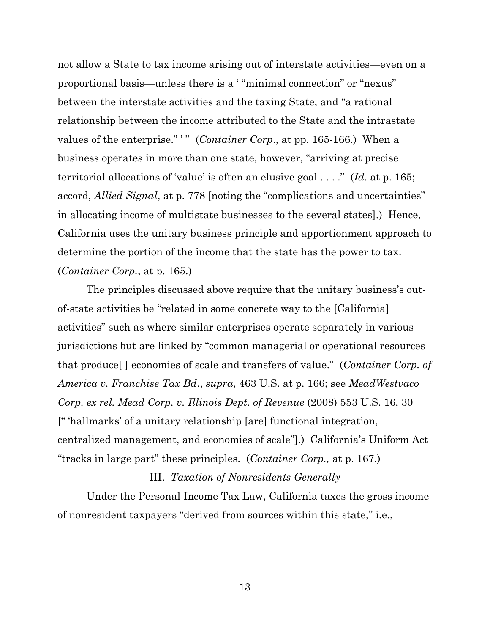not allow a State to tax income arising out of interstate activities—even on a proportional basis—unless there is a ' "minimal connection" or "nexus" between the interstate activities and the taxing State, and "a rational relationship between the income attributed to the State and the intrastate values of the enterprise."" (*Container Corp.*, at pp. 165-166.) When a business operates in more than one state, however, "arriving at precise territorial allocations of 'value' is often an elusive goal . . . ." (*Id.* at p. 165; accord, *Allied Signal*, at p. 778 [noting the "complications and uncertainties" in allocating income of multistate businesses to the several states].) Hence, California uses the unitary business principle and apportionment approach to determine the portion of the income that the state has the power to tax. (*Container Corp.*, at p. 165.)

The principles discussed above require that the unitary business's outof-state activities be "related in some concrete way to the [California] activities" such as where similar enterprises operate separately in various jurisdictions but are linked by "common managerial or operational resources that produce[ ] economies of scale and transfers of value." (*Container Corp. of America v. Franchise Tax Bd*., *supra*, 463 U.S. at p. 166; see *MeadWestvaco Corp. ex rel. Mead Corp. v. Illinois Dept. of Revenue* (2008) 553 U.S. 16, 30 [" 'hallmarks' of a unitary relationship [are] functional integration, centralized management, and economies of scale"].) California's Uniform Act "tracks in large part" these principles. (*Container Corp.,* at p. 167.)

#### III. *Taxation of Nonresidents Generally*

Under the Personal Income Tax Law, California taxes the gross income of nonresident taxpayers "derived from sources within this state," i.e.,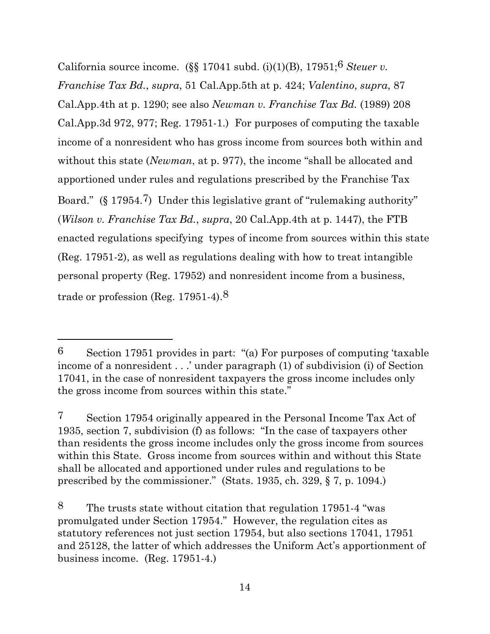California source income. (§§ 17041 subd. (i)(1)(B), 17951;6 *Steuer v. Franchise Tax Bd.*, *supra*, 51 Cal.App.5th at p. 424; *Valentino*, *supra*, 87 Cal.App.4th at p. 1290; see also *Newman v. Franchise Tax Bd.* (1989) 208 Cal.App.3d 972, 977; Reg. 17951-1.) For purposes of computing the taxable income of a nonresident who has gross income from sources both within and without this state (*Newman*, at p. 977), the income "shall be allocated and apportioned under rules and regulations prescribed by the Franchise Tax Board." (§ 17954.7) Under this legislative grant of "rulemaking authority" (*Wilson v. Franchise Tax Bd.*, *supra*, 20 Cal.App.4th at p. 1447), the FTB enacted regulations specifying types of income from sources within this state (Reg. 17951-2), as well as regulations dealing with how to treat intangible personal property (Reg. 17952) and nonresident income from a business, trade or profession (Reg. 17951-4).8

<sup>6</sup> Section 17951 provides in part: "(a) For purposes of computing 'taxable income of a nonresident . . .' under paragraph (1) of subdivision (i) of Section 17041, in the case of nonresident taxpayers the gross income includes only the gross income from sources within this state."

<sup>7</sup> Section 17954 originally appeared in the Personal Income Tax Act of 1935, section 7, subdivision (f) as follows: "In the case of taxpayers other than residents the gross income includes only the gross income from sources within this State. Gross income from sources within and without this State shall be allocated and apportioned under rules and regulations to be prescribed by the commissioner." (Stats. 1935, ch. 329, § 7, p. 1094.)

<sup>8</sup> The trusts state without citation that regulation 17951-4 "was promulgated under Section 17954." However, the regulation cites as statutory references not just section 17954, but also sections 17041, 17951 and 25128, the latter of which addresses the Uniform Act's apportionment of business income. (Reg. 17951-4.)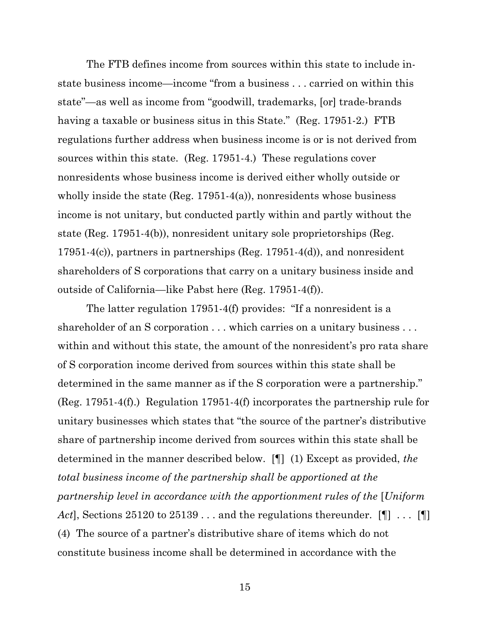The FTB defines income from sources within this state to include instate business income—income "from a business . . . carried on within this state"—as well as income from "goodwill, trademarks, [or] trade-brands having a taxable or business situs in this State." (Reg. 17951-2.) FTB regulations further address when business income is or is not derived from sources within this state. (Reg. 17951-4.) These regulations cover nonresidents whose business income is derived either wholly outside or wholly inside the state (Reg.  $17951-4(a)$ ), nonresidents whose business income is not unitary, but conducted partly within and partly without the state (Reg. 17951-4(b)), nonresident unitary sole proprietorships (Reg. 17951-4(c)), partners in partnerships (Reg. 17951-4(d)), and nonresident shareholders of S corporations that carry on a unitary business inside and outside of California—like Pabst here (Reg. 17951-4(f)).

The latter regulation 17951-4(f) provides: "If a nonresident is a shareholder of an S corporation . . . which carries on a unitary business . . . within and without this state, the amount of the nonresident's pro rata share of S corporation income derived from sources within this state shall be determined in the same manner as if the S corporation were a partnership." (Reg. 17951-4(f).) Regulation 17951-4(f) incorporates the partnership rule for unitary businesses which states that "the source of the partner's distributive share of partnership income derived from sources within this state shall be determined in the manner described below. [¶] (1) Except as provided, *the total business income of the partnership shall be apportioned at the partnership level in accordance with the apportionment rules of the* [*Uniform*  Act], Sections 25120 to 25139 . . . and the regulations thereunder. [1] . . . [1] (4) The source of a partner's distributive share of items which do not constitute business income shall be determined in accordance with the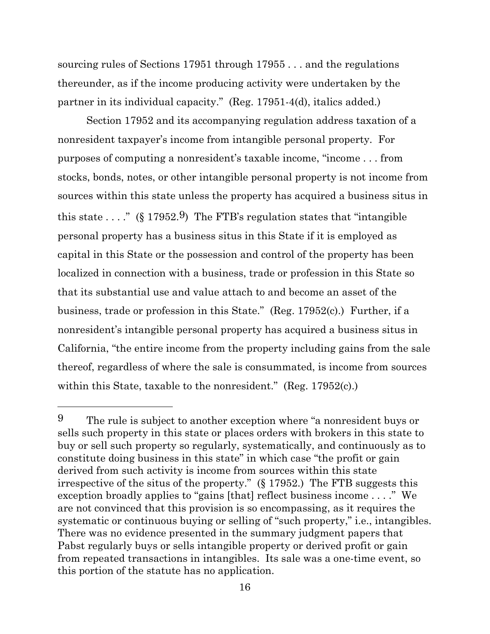sourcing rules of Sections 17951 through 17955 . . . and the regulations thereunder, as if the income producing activity were undertaken by the partner in its individual capacity." (Reg. 17951-4(d), italics added.)

Section 17952 and its accompanying regulation address taxation of a nonresident taxpayer's income from intangible personal property. For purposes of computing a nonresident's taxable income, "income . . . from stocks, bonds, notes, or other intangible personal property is not income from sources within this state unless the property has acquired a business situs in this state  $\ldots$ ." (§ 17952.9) The FTB's regulation states that "intangible" personal property has a business situs in this State if it is employed as capital in this State or the possession and control of the property has been localized in connection with a business, trade or profession in this State so that its substantial use and value attach to and become an asset of the business, trade or profession in this State." (Reg. 17952(c).) Further, if a nonresident's intangible personal property has acquired a business situs in California, "the entire income from the property including gains from the sale thereof, regardless of where the sale is consummated, is income from sources within this State, taxable to the nonresident." (Reg. 17952(c).)

<sup>9</sup> The rule is subject to another exception where "a nonresident buys or sells such property in this state or places orders with brokers in this state to buy or sell such property so regularly, systematically, and continuously as to constitute doing business in this state" in which case "the profit or gain derived from such activity is income from sources within this state irrespective of the situs of the property." (§ 17952.) The FTB suggests this exception broadly applies to "gains [that] reflect business income . . . ." We are not convinced that this provision is so encompassing, as it requires the systematic or continuous buying or selling of "such property," i.e., intangibles. There was no evidence presented in the summary judgment papers that Pabst regularly buys or sells intangible property or derived profit or gain from repeated transactions in intangibles. Its sale was a one-time event, so this portion of the statute has no application.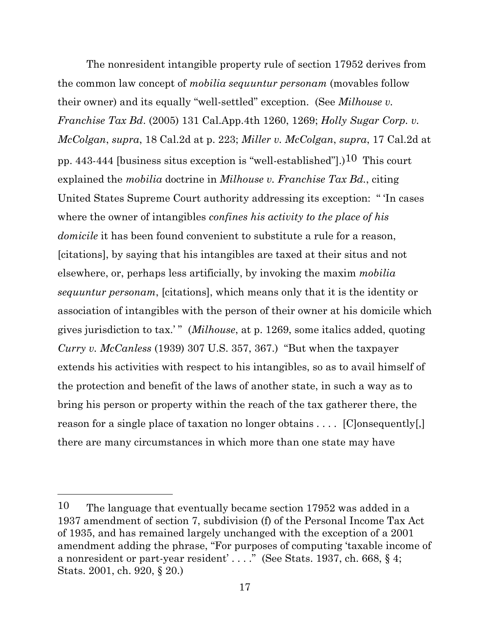The nonresident intangible property rule of section 17952 derives from the common law concept of *mobilia sequuntur personam* (movables follow their owner) and its equally "well-settled" exception. (See *Milhouse v. Franchise Tax Bd*. (2005) 131 Cal.App.4th 1260, 1269; *Holly Sugar Corp. v. McColgan*, *supra*, 18 Cal.2d at p. 223; *Miller v. McColgan*, *supra*, 17 Cal.2d at pp. 443-444 [business situs exception is "well-established"].)<sup>10</sup> This court explained the *mobilia* doctrine in *Milhouse v. Franchise Tax Bd.*, citing United States Supreme Court authority addressing its exception: " 'In cases where the owner of intangibles *confines his activity to the place of his domicile* it has been found convenient to substitute a rule for a reason, [citations], by saying that his intangibles are taxed at their situs and not elsewhere, or, perhaps less artificially, by invoking the maxim *mobilia sequuntur personam*, [citations], which means only that it is the identity or association of intangibles with the person of their owner at his domicile which gives jurisdiction to tax.' " (*Milhouse*, at p. 1269, some italics added, quoting *Curry v. McCanless* (1939) 307 U.S. 357, 367.) "But when the taxpayer extends his activities with respect to his intangibles, so as to avail himself of the protection and benefit of the laws of another state, in such a way as to bring his person or property within the reach of the tax gatherer there, the reason for a single place of taxation no longer obtains . . . . [Clonsequently[,] there are many circumstances in which more than one state may have

<sup>10</sup> The language that eventually became section 17952 was added in a 1937 amendment of section 7, subdivision (f) of the Personal Income Tax Act of 1935, and has remained largely unchanged with the exception of a 2001 amendment adding the phrase, "For purposes of computing 'taxable income of a nonresident or part-year resident' . . . ." (See Stats. 1937, ch. 668, § 4; Stats. 2001, ch. 920, § 20.)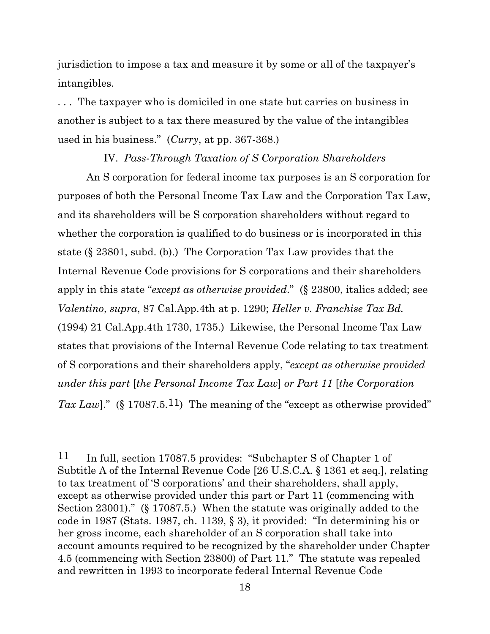jurisdiction to impose a tax and measure it by some or all of the taxpayer's intangibles.

. . . The taxpayer who is domiciled in one state but carries on business in another is subject to a tax there measured by the value of the intangibles used in his business." (*Curry*, at pp. 367-368.)

#### IV. *Pass-Through Taxation of S Corporation Shareholders*

An S corporation for federal income tax purposes is an S corporation for purposes of both the Personal Income Tax Law and the Corporation Tax Law, and its shareholders will be S corporation shareholders without regard to whether the corporation is qualified to do business or is incorporated in this state (§ 23801, subd. (b).) The Corporation Tax Law provides that the Internal Revenue Code provisions for S corporations and their shareholders apply in this state "*except as otherwise provided*." (§ 23800, italics added; see *Valentino*, *supra*, 87 Cal.App.4th at p. 1290; *Heller v. Franchise Tax Bd.* (1994) 21 Cal.App.4th 1730, 1735.) Likewise, the Personal Income Tax Law states that provisions of the Internal Revenue Code relating to tax treatment of S corporations and their shareholders apply, "*except as otherwise provided under this part* [*the Personal Income Tax Law*] *or Part 11* [*the Corporation*  Tax Law]." (§ 17087.5.<sup>11</sup>) The meaning of the "except as otherwise provided"

<sup>11</sup> In full, section 17087.5 provides: "Subchapter S of Chapter 1 of Subtitle A of the Internal Revenue Code [26 U.S.C.A. § 1361 et seq.], relating to tax treatment of 'S corporations' and their shareholders, shall apply, except as otherwise provided under this part or Part 11 (commencing with Section 23001)." (§ 17087.5.) When the statute was originally added to the code in 1987 (Stats. 1987, ch. 1139, § 3), it provided: "In determining his or her gross income, each shareholder of an S corporation shall take into account amounts required to be recognized by the shareholder under Chapter 4.5 (commencing with Section 23800) of Part 11." The statute was repealed and rewritten in 1993 to incorporate federal Internal Revenue Code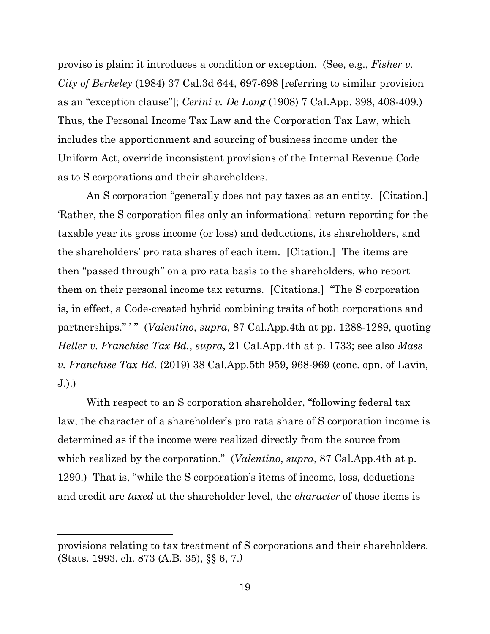proviso is plain: it introduces a condition or exception. (See, e.g., *Fisher v. City of Berkeley* (1984) 37 Cal.3d 644, 697-698 [referring to similar provision as an "exception clause"]; *Cerini v. De Long* (1908) 7 Cal.App. 398, 408-409.) Thus, the Personal Income Tax Law and the Corporation Tax Law, which includes the apportionment and sourcing of business income under the Uniform Act, override inconsistent provisions of the Internal Revenue Code as to S corporations and their shareholders.

An S corporation "generally does not pay taxes as an entity. [Citation.] 'Rather, the S corporation files only an informational return reporting for the taxable year its gross income (or loss) and deductions, its shareholders, and the shareholders' pro rata shares of each item. [Citation.] The items are then "passed through" on a pro rata basis to the shareholders, who report them on their personal income tax returns. [Citations.] "The S corporation is, in effect, a Code-created hybrid combining traits of both corporations and partnerships." " (*Valentino*, *supra*, 87 Cal.App.4th at pp. 1288-1289, quoting *Heller v. Franchise Tax Bd.*, *supra*, 21 Cal.App.4th at p. 1733; see also *Mass v. Franchise Tax Bd.* (2019) 38 Cal.App.5th 959, 968-969 (conc. opn. of Lavin, J.).)

With respect to an S corporation shareholder, "following federal tax law, the character of a shareholder's pro rata share of S corporation income is determined as if the income were realized directly from the source from which realized by the corporation." (*Valentino*, *supra*, 87 Cal.App.4th at p. 1290.) That is, "while the S corporation's items of income, loss, deductions and credit are *taxed* at the shareholder level, the *character* of those items is

provisions relating to tax treatment of S corporations and their shareholders. (Stats. 1993, ch. 873 (A.B. 35), §§ 6, 7.)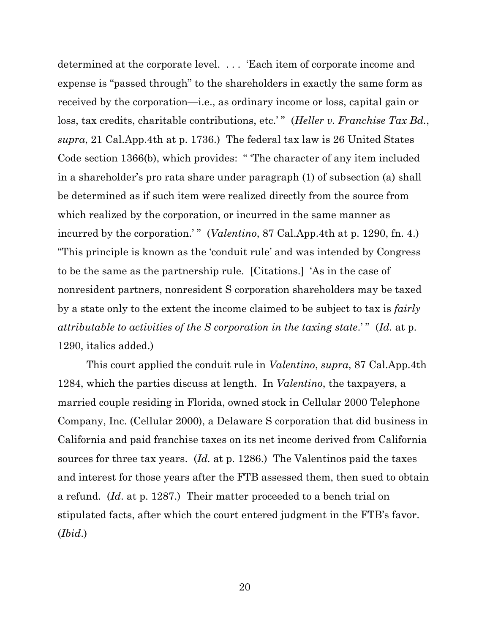determined at the corporate level. . . . 'Each item of corporate income and expense is "passed through" to the shareholders in exactly the same form as received by the corporation—i.e., as ordinary income or loss, capital gain or loss, tax credits, charitable contributions, etc.'" (*Heller v. Franchise Tax Bd.*, *supra*, 21 Cal.App.4th at p. 1736.) The federal tax law is 26 United States Code section 1366(b), which provides: " 'The character of any item included in a shareholder's pro rata share under paragraph (1) of subsection (a) shall be determined as if such item were realized directly from the source from which realized by the corporation, or incurred in the same manner as incurred by the corporation.'" (*Valentino*, 87 Cal.App.4th at p. 1290, fn. 4.) "This principle is known as the 'conduit rule' and was intended by Congress to be the same as the partnership rule. [Citations.] 'As in the case of nonresident partners, nonresident S corporation shareholders may be taxed by a state only to the extent the income claimed to be subject to tax is *fairly attributable to activities of the S corporation in the taxing state*.' " (*Id.* at p. 1290, italics added.)

This court applied the conduit rule in *Valentino*, *supra*, 87 Cal.App.4th 1284, which the parties discuss at length. In *Valentino*, the taxpayers, a married couple residing in Florida, owned stock in Cellular 2000 Telephone Company, Inc. (Cellular 2000), a Delaware S corporation that did business in California and paid franchise taxes on its net income derived from California sources for three tax years. (*Id.* at p. 1286.) The Valentinos paid the taxes and interest for those years after the FTB assessed them, then sued to obtain a refund. (*Id*. at p. 1287.) Their matter proceeded to a bench trial on stipulated facts, after which the court entered judgment in the FTB's favor. (*Ibid*.)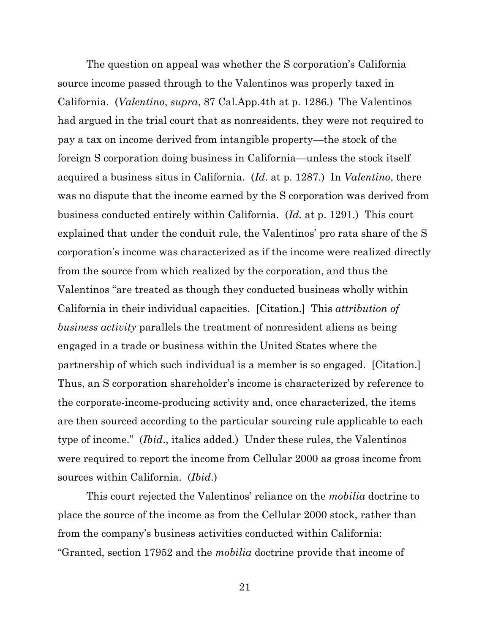The question on appeal was whether the S corporation's California source income passed through to the Valentinos was properly taxed in California. (*Valentino*, *supra*, 87 Cal.App.4th at p. 1286.) The Valentinos had argued in the trial court that as nonresidents, they were not required to pay a tax on income derived from intangible property—the stock of the foreign S corporation doing business in California—unless the stock itself acquired a business situs in California. (*Id*. at p. 1287.) In *Valentino*, there was no dispute that the income earned by the S corporation was derived from business conducted entirely within California. (*Id.* at p. 1291.) This court explained that under the conduit rule, the Valentinos' pro rata share of the S corporation's income was characterized as if the income were realized directly from the source from which realized by the corporation, and thus the Valentinos "are treated as though they conducted business wholly within California in their individual capacities. [Citation.] This *attribution of business activity* parallels the treatment of nonresident aliens as being engaged in a trade or business within the United States where the partnership of which such individual is a member is so engaged. [Citation.] Thus, an S corporation shareholder's income is characterized by reference to the corporate-income-producing activity and, once characterized, the items are then sourced according to the particular sourcing rule applicable to each type of income." (*Ibid*., italics added.) Under these rules, the Valentinos were required to report the income from Cellular 2000 as gross income from sources within California. (*Ibid*.)

This court rejected the Valentinos' reliance on the *mobilia* doctrine to place the source of the income as from the Cellular 2000 stock, rather than from the company's business activities conducted within California: "Granted, section 17952 and the *mobilia* doctrine provide that income of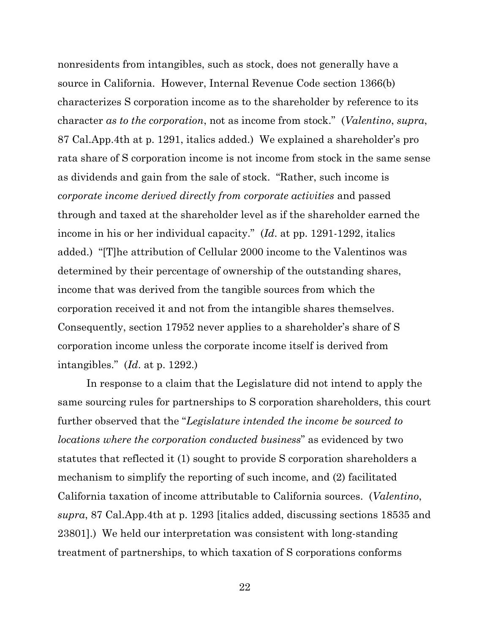nonresidents from intangibles, such as stock, does not generally have a source in California. However, Internal Revenue Code section 1366(b) characterizes S corporation income as to the shareholder by reference to its character *as to the corporation*, not as income from stock." (*Valentino*, *supra*, 87 Cal.App.4th at p. 1291, italics added.) We explained a shareholder's pro rata share of S corporation income is not income from stock in the same sense as dividends and gain from the sale of stock. "Rather, such income is *corporate income derived directly from corporate activities* and passed through and taxed at the shareholder level as if the shareholder earned the income in his or her individual capacity." (*Id*. at pp. 1291-1292, italics added.) "[T]he attribution of Cellular 2000 income to the Valentinos was determined by their percentage of ownership of the outstanding shares, income that was derived from the tangible sources from which the corporation received it and not from the intangible shares themselves. Consequently, section 17952 never applies to a shareholder's share of S corporation income unless the corporate income itself is derived from intangibles." (*Id*. at p. 1292.)

In response to a claim that the Legislature did not intend to apply the same sourcing rules for partnerships to S corporation shareholders, this court further observed that the "*Legislature intended the income be sourced to locations where the corporation conducted business*" as evidenced by two statutes that reflected it (1) sought to provide S corporation shareholders a mechanism to simplify the reporting of such income, and (2) facilitated California taxation of income attributable to California sources. (*Valentino*, *supra*, 87 Cal.App.4th at p. 1293 [italics added, discussing sections 18535 and 23801].) We held our interpretation was consistent with long-standing treatment of partnerships, to which taxation of S corporations conforms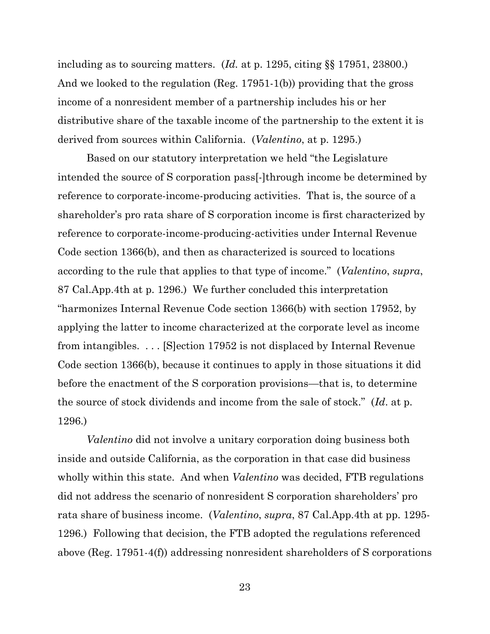including as to sourcing matters. (*Id.* at p. 1295, citing §§ 17951, 23800.) And we looked to the regulation (Reg. 17951-1(b)) providing that the gross income of a nonresident member of a partnership includes his or her distributive share of the taxable income of the partnership to the extent it is derived from sources within California. (*Valentino*, at p. 1295.)

Based on our statutory interpretation we held "the Legislature intended the source of S corporation pass[-]through income be determined by reference to corporate-income-producing activities. That is, the source of a shareholder's pro rata share of S corporation income is first characterized by reference to corporate-income-producing-activities under Internal Revenue Code section 1366(b), and then as characterized is sourced to locations according to the rule that applies to that type of income." (*Valentino*, *supra*, 87 Cal.App.4th at p. 1296.) We further concluded this interpretation "harmonizes Internal Revenue Code section 1366(b) with section 17952, by applying the latter to income characterized at the corporate level as income from intangibles. . . . [S]ection 17952 is not displaced by Internal Revenue Code section 1366(b), because it continues to apply in those situations it did before the enactment of the S corporation provisions—that is, to determine the source of stock dividends and income from the sale of stock." (*Id*. at p. 1296.)

*Valentino* did not involve a unitary corporation doing business both inside and outside California, as the corporation in that case did business wholly within this state. And when *Valentino* was decided, FTB regulations did not address the scenario of nonresident S corporation shareholders' pro rata share of business income. (*Valentino*, *supra*, 87 Cal.App.4th at pp. 1295- 1296.) Following that decision, the FTB adopted the regulations referenced above (Reg. 17951-4(f)) addressing nonresident shareholders of S corporations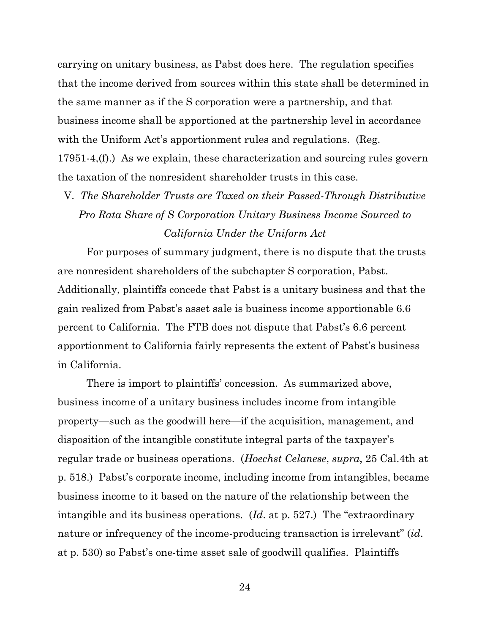carrying on unitary business, as Pabst does here. The regulation specifies that the income derived from sources within this state shall be determined in the same manner as if the S corporation were a partnership, and that business income shall be apportioned at the partnership level in accordance with the Uniform Act's apportionment rules and regulations. (Reg. 17951-4,(f).) As we explain, these characterization and sourcing rules govern the taxation of the nonresident shareholder trusts in this case.

V. *The Shareholder Trusts are Taxed on their Passed-Through Distributive Pro Rata Share of S Corporation Unitary Business Income Sourced to California Under the Uniform Act*

For purposes of summary judgment, there is no dispute that the trusts are nonresident shareholders of the subchapter S corporation, Pabst. Additionally, plaintiffs concede that Pabst is a unitary business and that the gain realized from Pabst's asset sale is business income apportionable 6.6 percent to California. The FTB does not dispute that Pabst's 6.6 percent apportionment to California fairly represents the extent of Pabst's business in California.

There is import to plaintiffs' concession. As summarized above, business income of a unitary business includes income from intangible property—such as the goodwill here—if the acquisition, management, and disposition of the intangible constitute integral parts of the taxpayer's regular trade or business operations. (*Hoechst Celanese*, *supra*, 25 Cal.4th at p. 518.) Pabst's corporate income, including income from intangibles, became business income to it based on the nature of the relationship between the intangible and its business operations. (*Id*. at p. 527.) The "extraordinary nature or infrequency of the income-producing transaction is irrelevant" (*id*. at p. 530) so Pabst's one-time asset sale of goodwill qualifies. Plaintiffs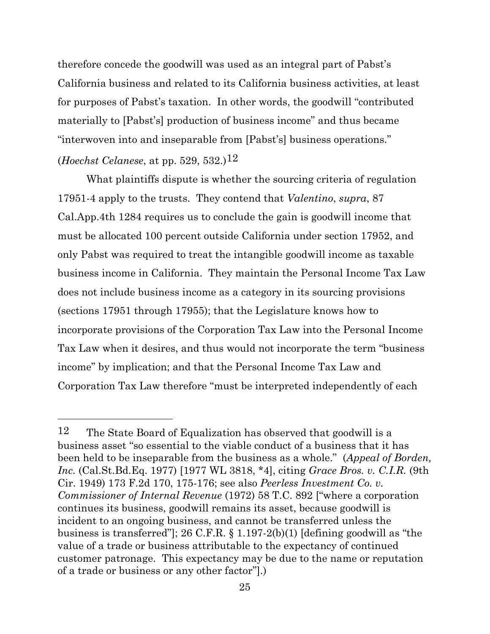therefore concede the goodwill was used as an integral part of Pabst's California business and related to its California business activities, at least for purposes of Pabst's taxation. In other words, the goodwill "contributed materially to [Pabst's] production of business income" and thus became "interwoven into and inseparable from [Pabst's] business operations." (*Hoechst Celanese*, at pp. 529, 532.)12

What plaintiffs dispute is whether the sourcing criteria of regulation 17951-4 apply to the trusts. They contend that *Valentino*, *supra*, 87 Cal.App.4th 1284 requires us to conclude the gain is goodwill income that must be allocated 100 percent outside California under section 17952, and only Pabst was required to treat the intangible goodwill income as taxable business income in California. They maintain the Personal Income Tax Law does not include business income as a category in its sourcing provisions (sections 17951 through 17955); that the Legislature knows how to incorporate provisions of the Corporation Tax Law into the Personal Income Tax Law when it desires, and thus would not incorporate the term "business income" by implication; and that the Personal Income Tax Law and Corporation Tax Law therefore "must be interpreted independently of each

<sup>12</sup> The State Board of Equalization has observed that goodwill is a business asset "so essential to the viable conduct of a business that it has been held to be inseparable from the business as a whole." (*Appeal of Borden, Inc.* (Cal.St.Bd.Eq. 1977) [1977 WL 3818, \*4], citing *Grace Bros. v. C.I.R.* (9th Cir. 1949) 173 F.2d 170, 175-176; see also *Peerless Investment Co. v. Commissioner of Internal Revenue* (1972) 58 T.C. 892 ["where a corporation continues its business, goodwill remains its asset, because goodwill is incident to an ongoing business, and cannot be transferred unless the business is transferred"]; 26 C.F.R. § 1.197-2(b)(1) [defining goodwill as "the value of a trade or business attributable to the expectancy of continued customer patronage. This expectancy may be due to the name or reputation of a trade or business or any other factor"].)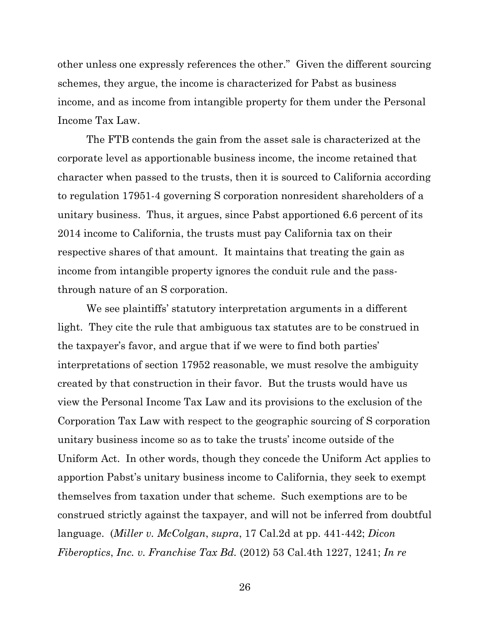other unless one expressly references the other." Given the different sourcing schemes, they argue, the income is characterized for Pabst as business income, and as income from intangible property for them under the Personal Income Tax Law.

The FTB contends the gain from the asset sale is characterized at the corporate level as apportionable business income, the income retained that character when passed to the trusts, then it is sourced to California according to regulation 17951-4 governing S corporation nonresident shareholders of a unitary business. Thus, it argues, since Pabst apportioned 6.6 percent of its 2014 income to California, the trusts must pay California tax on their respective shares of that amount. It maintains that treating the gain as income from intangible property ignores the conduit rule and the passthrough nature of an S corporation.

We see plaintiffs' statutory interpretation arguments in a different light. They cite the rule that ambiguous tax statutes are to be construed in the taxpayer's favor, and argue that if we were to find both parties' interpretations of section 17952 reasonable, we must resolve the ambiguity created by that construction in their favor. But the trusts would have us view the Personal Income Tax Law and its provisions to the exclusion of the Corporation Tax Law with respect to the geographic sourcing of S corporation unitary business income so as to take the trusts' income outside of the Uniform Act. In other words, though they concede the Uniform Act applies to apportion Pabst's unitary business income to California, they seek to exempt themselves from taxation under that scheme. Such exemptions are to be construed strictly against the taxpayer, and will not be inferred from doubtful language. (*Miller v. McColgan*, *supra*, 17 Cal.2d at pp. 441-442; *Dicon Fiberoptics*, *Inc. v. Franchise Tax Bd.* (2012) 53 Cal.4th 1227, 1241; *In re*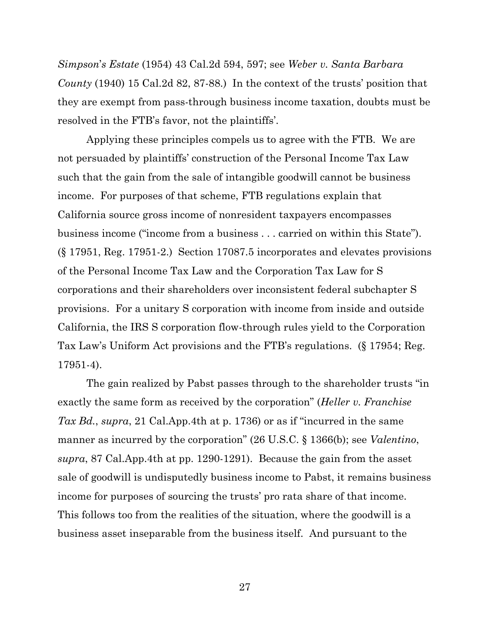*Simpson*'*s Estate* (1954) 43 Cal.2d 594, 597; see *Weber v. Santa Barbara County* (1940) 15 Cal.2d 82, 87-88.) In the context of the trusts' position that they are exempt from pass-through business income taxation, doubts must be resolved in the FTB's favor, not the plaintiffs'.

Applying these principles compels us to agree with the FTB. We are not persuaded by plaintiffs' construction of the Personal Income Tax Law such that the gain from the sale of intangible goodwill cannot be business income. For purposes of that scheme, FTB regulations explain that California source gross income of nonresident taxpayers encompasses business income ("income from a business . . . carried on within this State"). (§ 17951, Reg. 17951-2.) Section 17087.5 incorporates and elevates provisions of the Personal Income Tax Law and the Corporation Tax Law for S corporations and their shareholders over inconsistent federal subchapter S provisions. For a unitary S corporation with income from inside and outside California, the IRS S corporation flow-through rules yield to the Corporation Tax Law's Uniform Act provisions and the FTB's regulations. (§ 17954; Reg. 17951-4).

The gain realized by Pabst passes through to the shareholder trusts "in exactly the same form as received by the corporation" (*Heller v. Franchise Tax Bd.*, *supra*, 21 Cal.App.4th at p. 1736) or as if "incurred in the same manner as incurred by the corporation" (26 U.S.C. § 1366(b); see *Valentino*, *supra*, 87 Cal.App.4th at pp. 1290-1291). Because the gain from the asset sale of goodwill is undisputedly business income to Pabst, it remains business income for purposes of sourcing the trusts' pro rata share of that income. This follows too from the realities of the situation, where the goodwill is a business asset inseparable from the business itself. And pursuant to the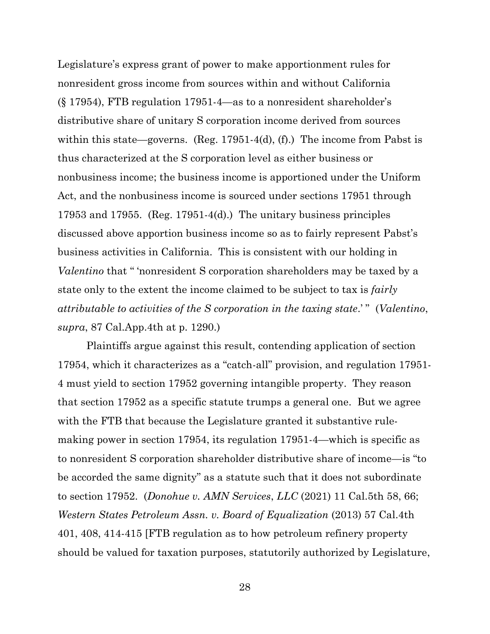Legislature's express grant of power to make apportionment rules for nonresident gross income from sources within and without California (§ 17954), FTB regulation 17951-4—as to a nonresident shareholder's distributive share of unitary S corporation income derived from sources within this state—governs. (Reg. 17951-4(d), (f).) The income from Pabst is thus characterized at the S corporation level as either business or nonbusiness income; the business income is apportioned under the Uniform Act, and the nonbusiness income is sourced under sections 17951 through 17953 and 17955. (Reg. 17951-4(d).) The unitary business principles discussed above apportion business income so as to fairly represent Pabst's business activities in California. This is consistent with our holding in *Valentino* that " 'nonresident S corporation shareholders may be taxed by a state only to the extent the income claimed to be subject to tax is *fairly attributable to activities of the S corporation in the taxing state*.' " (*Valentino*, *supra*, 87 Cal.App.4th at p. 1290.)

Plaintiffs argue against this result, contending application of section 17954, which it characterizes as a "catch-all" provision, and regulation 17951- 4 must yield to section 17952 governing intangible property. They reason that section 17952 as a specific statute trumps a general one. But we agree with the FTB that because the Legislature granted it substantive rulemaking power in section 17954, its regulation 17951-4—which is specific as to nonresident S corporation shareholder distributive share of income—is "to be accorded the same dignity" as a statute such that it does not subordinate to section 17952. (*Donohue v. AMN Services*, *LLC* (2021) 11 Cal.5th 58, 66; *Western States Petroleum Assn. v. Board of Equalization* (2013) 57 Cal.4th 401, 408, 414-415 [FTB regulation as to how petroleum refinery property should be valued for taxation purposes, statutorily authorized by Legislature,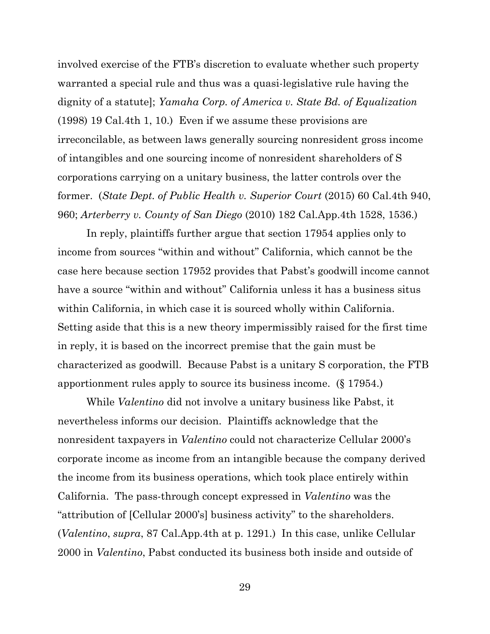involved exercise of the FTB's discretion to evaluate whether such property warranted a special rule and thus was a quasi-legislative rule having the dignity of a statute]; *Yamaha Corp. of America v. State Bd. of Equalization*  (1998) 19 Cal.4th 1, 10.) Even if we assume these provisions are irreconcilable, as between laws generally sourcing nonresident gross income of intangibles and one sourcing income of nonresident shareholders of S corporations carrying on a unitary business, the latter controls over the former. (*State Dept. of Public Health v. Superior Court* (2015) 60 Cal.4th 940, 960; *Arterberry v. County of San Diego* (2010) 182 Cal.App.4th 1528, 1536.)

In reply, plaintiffs further argue that section 17954 applies only to income from sources "within and without" California, which cannot be the case here because section 17952 provides that Pabst's goodwill income cannot have a source "within and without" California unless it has a business situs within California, in which case it is sourced wholly within California. Setting aside that this is a new theory impermissibly raised for the first time in reply, it is based on the incorrect premise that the gain must be characterized as goodwill. Because Pabst is a unitary S corporation, the FTB apportionment rules apply to source its business income. (§ 17954.)

While *Valentino* did not involve a unitary business like Pabst, it nevertheless informs our decision. Plaintiffs acknowledge that the nonresident taxpayers in *Valentino* could not characterize Cellular 2000's corporate income as income from an intangible because the company derived the income from its business operations, which took place entirely within California. The pass-through concept expressed in *Valentino* was the "attribution of [Cellular 2000's] business activity" to the shareholders. (*Valentino*, *supra*, 87 Cal.App.4th at p. 1291.) In this case, unlike Cellular 2000 in *Valentino*, Pabst conducted its business both inside and outside of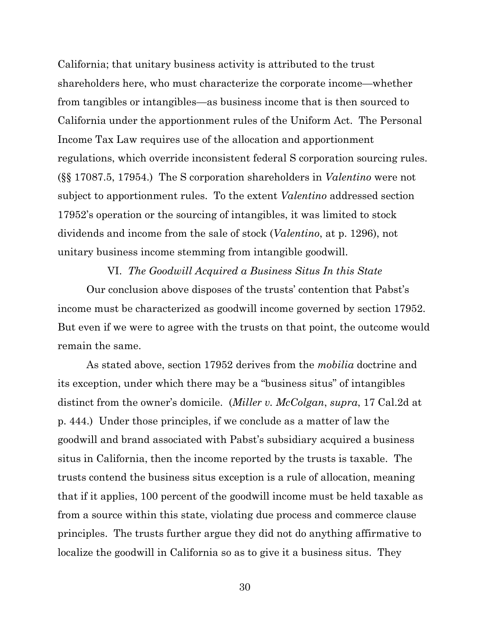California; that unitary business activity is attributed to the trust shareholders here, who must characterize the corporate income—whether from tangibles or intangibles—as business income that is then sourced to California under the apportionment rules of the Uniform Act. The Personal Income Tax Law requires use of the allocation and apportionment regulations, which override inconsistent federal S corporation sourcing rules. (§§ 17087.5, 17954.) The S corporation shareholders in *Valentino* were not subject to apportionment rules. To the extent *Valentino* addressed section 17952's operation or the sourcing of intangibles, it was limited to stock dividends and income from the sale of stock (*Valentino*, at p. 1296), not unitary business income stemming from intangible goodwill.

VI. *The Goodwill Acquired a Business Situs In this State* Our conclusion above disposes of the trusts' contention that Pabst's income must be characterized as goodwill income governed by section 17952. But even if we were to agree with the trusts on that point, the outcome would remain the same.

 As stated above, section 17952 derives from the *mobilia* doctrine and its exception, under which there may be a "business situs" of intangibles distinct from the owner's domicile. (*Miller v. McColgan*, *supra*, 17 Cal.2d at p. 444.) Under those principles, if we conclude as a matter of law the goodwill and brand associated with Pabst's subsidiary acquired a business situs in California, then the income reported by the trusts is taxable. The trusts contend the business situs exception is a rule of allocation, meaning that if it applies, 100 percent of the goodwill income must be held taxable as from a source within this state, violating due process and commerce clause principles. The trusts further argue they did not do anything affirmative to localize the goodwill in California so as to give it a business situs. They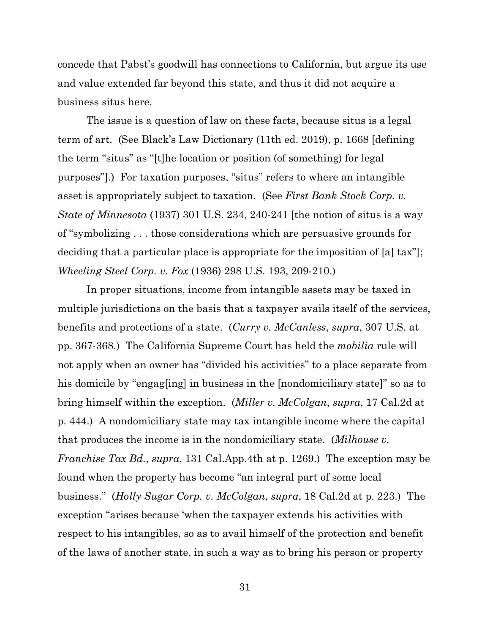concede that Pabst's goodwill has connections to California, but argue its use and value extended far beyond this state, and thus it did not acquire a business situs here.

The issue is a question of law on these facts, because situs is a legal term of art. (See Black's Law Dictionary (11th ed. 2019), p. 1668 [defining the term "situs" as "[t]he location or position (of something) for legal purposes"].) For taxation purposes, "situs" refers to where an intangible asset is appropriately subject to taxation. (See *First Bank Stock Corp. v. State of Minnesota* (1937) 301 U.S. 234, 240-241 [the notion of situs is a way of "symbolizing . . . those considerations which are persuasive grounds for deciding that a particular place is appropriate for the imposition of [a] tax"]; *Wheeling Steel Corp. v. Fox* (1936) 298 U.S. 193, 209-210.)

In proper situations, income from intangible assets may be taxed in multiple jurisdictions on the basis that a taxpayer avails itself of the services, benefits and protections of a state. (*Curry v. McCanless*, *supra*, 307 U.S. at pp. 367-368.) The California Supreme Court has held the *mobilia* rule will not apply when an owner has "divided his activities" to a place separate from his domicile by "engag[ing] in business in the [nondomiciliary state]" so as to bring himself within the exception. (*Miller v. McColgan*, *supra*, 17 Cal.2d at p. 444.) A nondomiciliary state may tax intangible income where the capital that produces the income is in the nondomiciliary state. (*Milhouse v. Franchise Tax Bd.*, *supra*, 131 Cal.App.4th at p. 1269.) The exception may be found when the property has become "an integral part of some local business." (*Holly Sugar Corp. v. McColgan*, *supra*, 18 Cal.2d at p. 223.) The exception "arises because 'when the taxpayer extends his activities with respect to his intangibles, so as to avail himself of the protection and benefit of the laws of another state, in such a way as to bring his person or property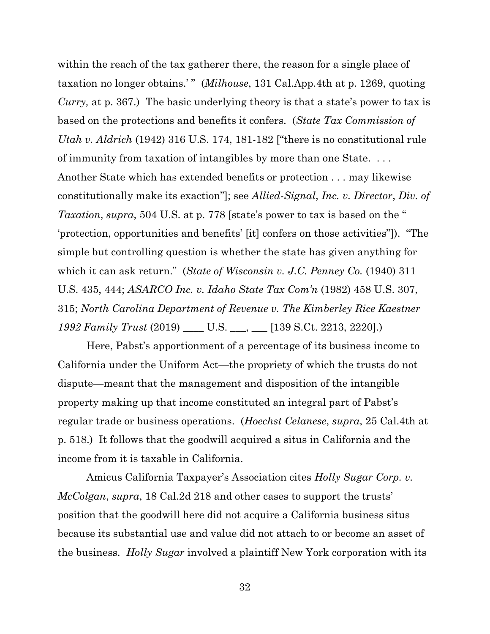within the reach of the tax gatherer there, the reason for a single place of taxation no longer obtains.' " (*Milhouse*, 131 Cal.App.4th at p. 1269, quoting *Curry,* at p. 367.) The basic underlying theory is that a state's power to tax is based on the protections and benefits it confers. (*State Tax Commission of Utah v. Aldrich* (1942) 316 U.S. 174, 181-182 ["there is no constitutional rule of immunity from taxation of intangibles by more than one State. . . . Another State which has extended benefits or protection . . . may likewise constitutionally make its exaction"]; see *Allied-Signal*, *Inc. v. Director*, *Div. of Taxation*, *supra*, 504 U.S. at p. 778 [state's power to tax is based on the " 'protection, opportunities and benefits' [it] confers on those activities"]). "The simple but controlling question is whether the state has given anything for which it can ask return." (*State of Wisconsin v. J.C. Penney Co.* (1940) 311 U.S. 435, 444; *ASARCO Inc. v. Idaho State Tax Com'n* (1982) 458 U.S. 307, 315; *North Carolina Department of Revenue v. The Kimberley Rice Kaestner 1992 Family Trust* (2019) \_\_\_\_ U.S. \_\_\_, \_\_\_ [139 S.Ct. 2213, 2220].)

Here, Pabst's apportionment of a percentage of its business income to California under the Uniform Act—the propriety of which the trusts do not dispute—meant that the management and disposition of the intangible property making up that income constituted an integral part of Pabst's regular trade or business operations. (*Hoechst Celanese*, *supra*, 25 Cal.4th at p. 518.) It follows that the goodwill acquired a situs in California and the income from it is taxable in California.

Amicus California Taxpayer's Association cites *Holly Sugar Corp. v. McColgan*, *supra*, 18 Cal.2d 218 and other cases to support the trusts' position that the goodwill here did not acquire a California business situs because its substantial use and value did not attach to or become an asset of the business. *Holly Sugar* involved a plaintiff New York corporation with its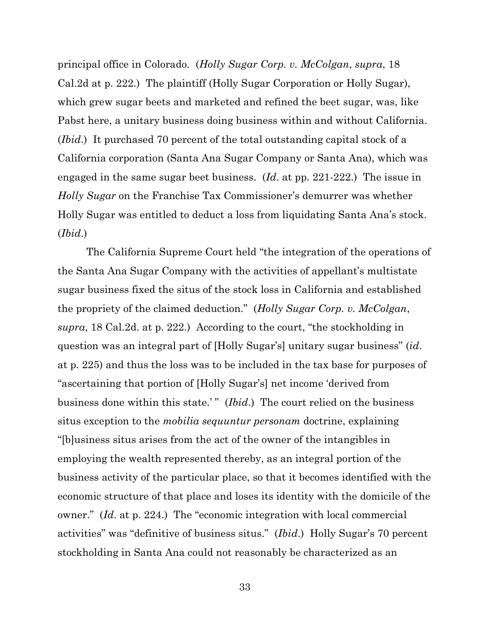principal office in Colorado. (*Holly Sugar Corp. v. McColgan*, *supra*, 18 Cal.2d at p. 222.) The plaintiff (Holly Sugar Corporation or Holly Sugar), which grew sugar beets and marketed and refined the beet sugar, was, like Pabst here, a unitary business doing business within and without California. (*Ibid*.) It purchased 70 percent of the total outstanding capital stock of a California corporation (Santa Ana Sugar Company or Santa Ana), which was engaged in the same sugar beet business. (*Id*. at pp. 221-222.) The issue in *Holly Sugar* on the Franchise Tax Commissioner's demurrer was whether Holly Sugar was entitled to deduct a loss from liquidating Santa Ana's stock. (*Ibid*.)

The California Supreme Court held "the integration of the operations of the Santa Ana Sugar Company with the activities of appellant's multistate sugar business fixed the situs of the stock loss in California and established the propriety of the claimed deduction." (*Holly Sugar Corp. v. McColgan*, *supra*, 18 Cal.2d. at p. 222.) According to the court, "the stockholding in question was an integral part of [Holly Sugar's] unitary sugar business" (*id*. at p. 225) and thus the loss was to be included in the tax base for purposes of "ascertaining that portion of [Holly Sugar's] net income 'derived from business done within this state.'" *(Ibid.)* The court relied on the business situs exception to the *mobilia sequuntur personam* doctrine, explaining "[b]usiness situs arises from the act of the owner of the intangibles in employing the wealth represented thereby, as an integral portion of the business activity of the particular place, so that it becomes identified with the economic structure of that place and loses its identity with the domicile of the owner." (*Id*. at p. 224.) The "economic integration with local commercial activities" was "definitive of business situs." (*Ibid*.) Holly Sugar's 70 percent stockholding in Santa Ana could not reasonably be characterized as an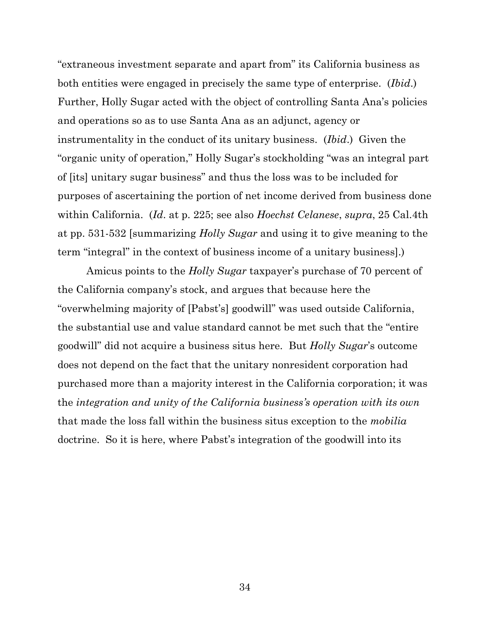"extraneous investment separate and apart from" its California business as both entities were engaged in precisely the same type of enterprise. (*Ibid*.) Further, Holly Sugar acted with the object of controlling Santa Ana's policies and operations so as to use Santa Ana as an adjunct, agency or instrumentality in the conduct of its unitary business. (*Ibid*.) Given the "organic unity of operation," Holly Sugar's stockholding "was an integral part of [its] unitary sugar business" and thus the loss was to be included for purposes of ascertaining the portion of net income derived from business done within California. (*Id*. at p. 225; see also *Hoechst Celanese*, *supra*, 25 Cal.4th at pp. 531-532 [summarizing *Holly Sugar* and using it to give meaning to the term "integral" in the context of business income of a unitary business].)

Amicus points to the *Holly Sugar* taxpayer's purchase of 70 percent of the California company's stock, and argues that because here the "overwhelming majority of [Pabst's] goodwill" was used outside California, the substantial use and value standard cannot be met such that the "entire goodwill" did not acquire a business situs here. But *Holly Sugar*'s outcome does not depend on the fact that the unitary nonresident corporation had purchased more than a majority interest in the California corporation; it was the *integration and unity of the California business's operation with its own* that made the loss fall within the business situs exception to the *mobilia* doctrine. So it is here, where Pabst's integration of the goodwill into its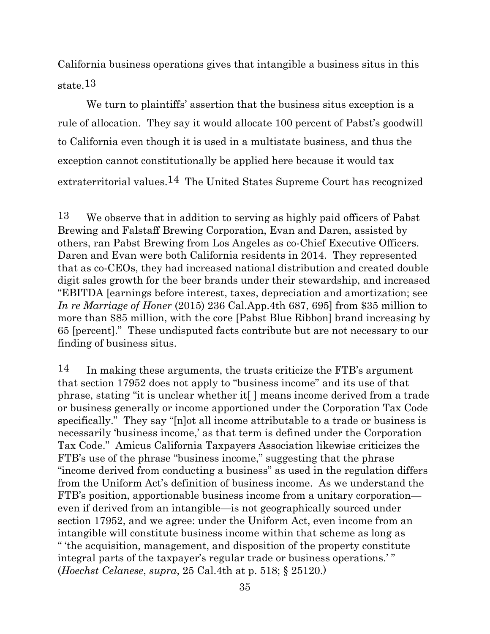California business operations gives that intangible a business situs in this state.13

We turn to plaintiffs' assertion that the business situs exception is a rule of allocation. They say it would allocate 100 percent of Pabst's goodwill to California even though it is used in a multistate business, and thus the exception cannot constitutionally be applied here because it would tax extraterritorial values.14 The United States Supreme Court has recognized

 $14$  In making these arguments, the trusts criticize the FTB's argument that section 17952 does not apply to "business income" and its use of that phrase, stating "it is unclear whether it[ ] means income derived from a trade or business generally or income apportioned under the Corporation Tax Code specifically." They say "[n]ot all income attributable to a trade or business is necessarily 'business income,' as that term is defined under the Corporation Tax Code." Amicus California Taxpayers Association likewise criticizes the FTB's use of the phrase "business income," suggesting that the phrase "income derived from conducting a business" as used in the regulation differs from the Uniform Act's definition of business income. As we understand the FTB's position, apportionable business income from a unitary corporation even if derived from an intangible—is not geographically sourced under section 17952, and we agree: under the Uniform Act, even income from an intangible will constitute business income within that scheme as long as " 'the acquisition, management, and disposition of the property constitute integral parts of the taxpayer's regular trade or business operations.' " (*Hoechst Celanese*, *supra*, 25 Cal.4th at p. 518; § 25120.)

<sup>13</sup> We observe that in addition to serving as highly paid officers of Pabst Brewing and Falstaff Brewing Corporation, Evan and Daren, assisted by others, ran Pabst Brewing from Los Angeles as co-Chief Executive Officers. Daren and Evan were both California residents in 2014. They represented that as co-CEOs, they had increased national distribution and created double digit sales growth for the beer brands under their stewardship, and increased "EBITDA [earnings before interest, taxes, depreciation and amortization; see *In re Marriage of Honer* (2015) 236 Cal.App.4th 687, 695] from \$35 million to more than \$85 million, with the core [Pabst Blue Ribbon] brand increasing by 65 [percent]." These undisputed facts contribute but are not necessary to our finding of business situs.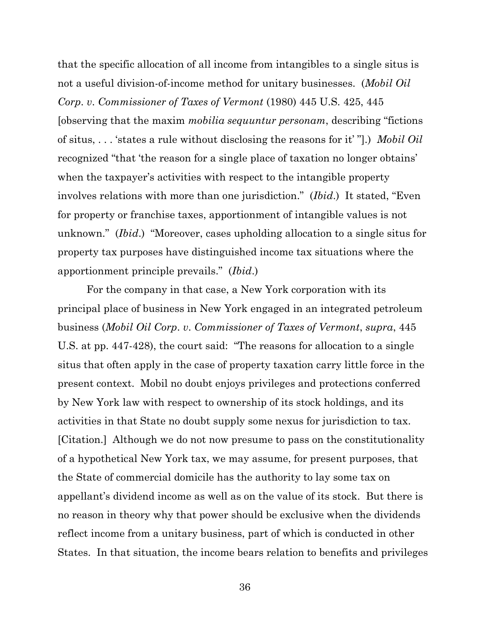that the specific allocation of all income from intangibles to a single situs is not a useful division-of-income method for unitary businesses. (*Mobil Oil Corp*. *v*. *Commissioner of Taxes of Vermont* (1980) 445 U.S. 425, 445 [observing that the maxim *mobilia sequuntur personam*, describing "fictions of situs, . . . 'states a rule without disclosing the reasons for it' "].) *Mobil Oil* recognized "that 'the reason for a single place of taxation no longer obtains' when the taxpayer's activities with respect to the intangible property involves relations with more than one jurisdiction." (*Ibid*.) It stated, "Even for property or franchise taxes, apportionment of intangible values is not unknown." (*Ibid*.) "Moreover, cases upholding allocation to a single situs for property tax purposes have distinguished income tax situations where the apportionment principle prevails." (*Ibid*.)

For the company in that case, a New York corporation with its principal place of business in New York engaged in an integrated petroleum business (*Mobil Oil Corp*. *v*. *Commissioner of Taxes of Vermont*, *supra*, 445 U.S. at pp. 447-428), the court said: "The reasons for allocation to a single situs that often apply in the case of property taxation carry little force in the present context. Mobil no doubt enjoys privileges and protections conferred by New York law with respect to ownership of its stock holdings, and its activities in that State no doubt supply some nexus for jurisdiction to tax. [Citation.] Although we do not now presume to pass on the constitutionality of a hypothetical New York tax, we may assume, for present purposes, that the State of commercial domicile has the authority to lay some tax on appellant's dividend income as well as on the value of its stock. But there is no reason in theory why that power should be exclusive when the dividends reflect income from a unitary business, part of which is conducted in other States. In that situation, the income bears relation to benefits and privileges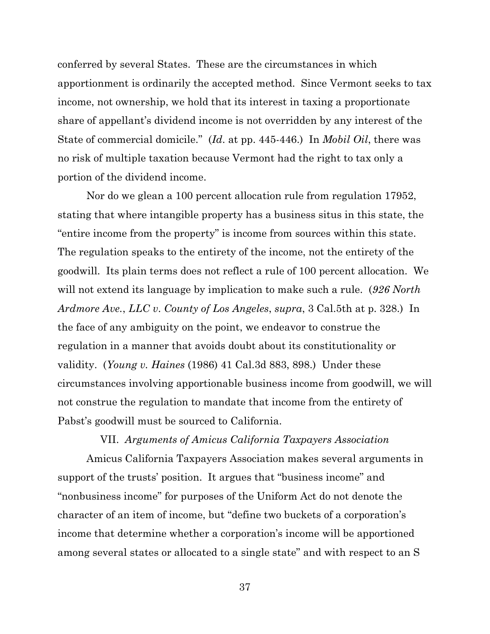conferred by several States. These are the circumstances in which apportionment is ordinarily the accepted method. Since Vermont seeks to tax income, not ownership, we hold that its interest in taxing a proportionate share of appellant's dividend income is not overridden by any interest of the State of commercial domicile." (*Id*. at pp. 445-446.) In *Mobil Oil*, there was no risk of multiple taxation because Vermont had the right to tax only a portion of the dividend income.

Nor do we glean a 100 percent allocation rule from regulation 17952, stating that where intangible property has a business situs in this state, the "entire income from the property" is income from sources within this state. The regulation speaks to the entirety of the income, not the entirety of the goodwill. Its plain terms does not reflect a rule of 100 percent allocation. We will not extend its language by implication to make such a rule. (*926 North Ardmore Ave.*, *LLC v*. *County of Los Angeles*, *supra*, 3 Cal.5th at p. 328.) In the face of any ambiguity on the point, we endeavor to construe the regulation in a manner that avoids doubt about its constitutionality or validity. (*Young v. Haines* (1986) 41 Cal.3d 883, 898.) Under these circumstances involving apportionable business income from goodwill, we will not construe the regulation to mandate that income from the entirety of Pabst's goodwill must be sourced to California.

#### VII. *Arguments of Amicus California Taxpayers Association*

Amicus California Taxpayers Association makes several arguments in support of the trusts' position. It argues that "business income" and "nonbusiness income" for purposes of the Uniform Act do not denote the character of an item of income, but "define two buckets of a corporation's income that determine whether a corporation's income will be apportioned among several states or allocated to a single state" and with respect to an S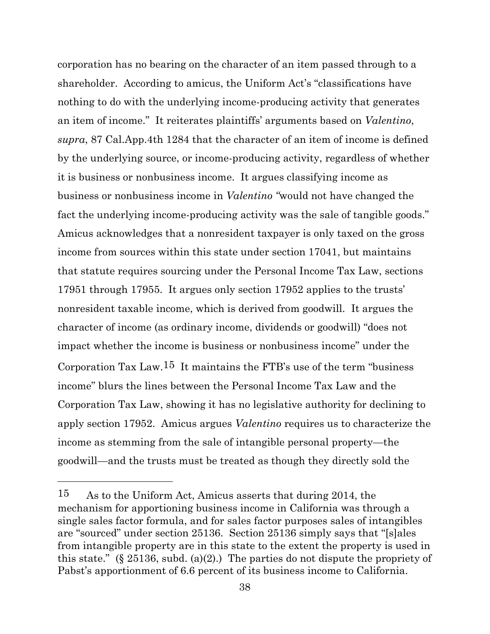corporation has no bearing on the character of an item passed through to a shareholder. According to amicus, the Uniform Act's "classifications have nothing to do with the underlying income-producing activity that generates an item of income." It reiterates plaintiffs' arguments based on *Valentino*, *supra*, 87 Cal.App.4th 1284 that the character of an item of income is defined by the underlying source, or income-producing activity, regardless of whether it is business or nonbusiness income. It argues classifying income as business or nonbusiness income in *Valentino "*would not have changed the fact the underlying income-producing activity was the sale of tangible goods." Amicus acknowledges that a nonresident taxpayer is only taxed on the gross income from sources within this state under section 17041, but maintains that statute requires sourcing under the Personal Income Tax Law, sections 17951 through 17955. It argues only section 17952 applies to the trusts' nonresident taxable income, which is derived from goodwill. It argues the character of income (as ordinary income, dividends or goodwill) "does not impact whether the income is business or nonbusiness income" under the Corporation Tax Law.<sup>15</sup> It maintains the FTB's use of the term "business" income" blurs the lines between the Personal Income Tax Law and the Corporation Tax Law, showing it has no legislative authority for declining to apply section 17952. Amicus argues *Valentino* requires us to characterize the income as stemming from the sale of intangible personal property—the goodwill—and the trusts must be treated as though they directly sold the

<sup>15</sup> As to the Uniform Act, Amicus asserts that during 2014, the mechanism for apportioning business income in California was through a single sales factor formula, and for sales factor purposes sales of intangibles are "sourced" under section 25136. Section 25136 simply says that "[s]ales from intangible property are in this state to the extent the property is used in this state." (§ 25136, subd. (a)(2).) The parties do not dispute the propriety of Pabst's apportionment of 6.6 percent of its business income to California.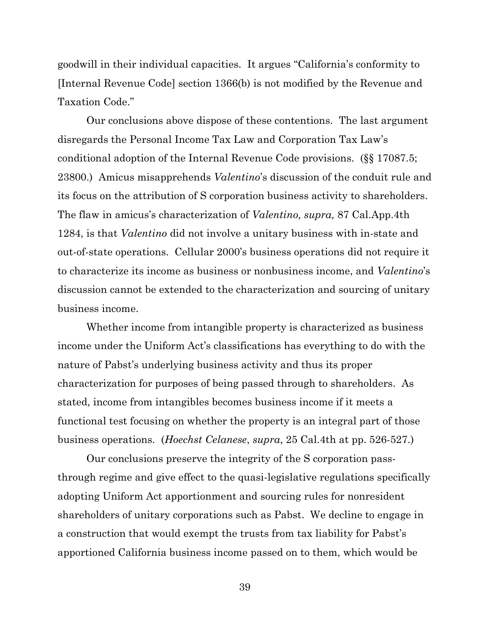goodwill in their individual capacities. It argues "California's conformity to [Internal Revenue Code] section 1366(b) is not modified by the Revenue and Taxation Code."

Our conclusions above dispose of these contentions. The last argument disregards the Personal Income Tax Law and Corporation Tax Law's conditional adoption of the Internal Revenue Code provisions. (§§ 17087.5; 23800.) Amicus misapprehends *Valentino*'s discussion of the conduit rule and its focus on the attribution of S corporation business activity to shareholders. The flaw in amicus's characterization of *Valentino, supra,* 87 Cal.App.4th 1284, is that *Valentino* did not involve a unitary business with in-state and out-of-state operations. Cellular 2000's business operations did not require it to characterize its income as business or nonbusiness income, and *Valentino*'s discussion cannot be extended to the characterization and sourcing of unitary business income.

Whether income from intangible property is characterized as business income under the Uniform Act's classifications has everything to do with the nature of Pabst's underlying business activity and thus its proper characterization for purposes of being passed through to shareholders. As stated, income from intangibles becomes business income if it meets a functional test focusing on whether the property is an integral part of those business operations. (*Hoechst Celanese*, *supra*, 25 Cal.4th at pp. 526-527.)

Our conclusions preserve the integrity of the S corporation passthrough regime and give effect to the quasi-legislative regulations specifically adopting Uniform Act apportionment and sourcing rules for nonresident shareholders of unitary corporations such as Pabst. We decline to engage in a construction that would exempt the trusts from tax liability for Pabst's apportioned California business income passed on to them, which would be